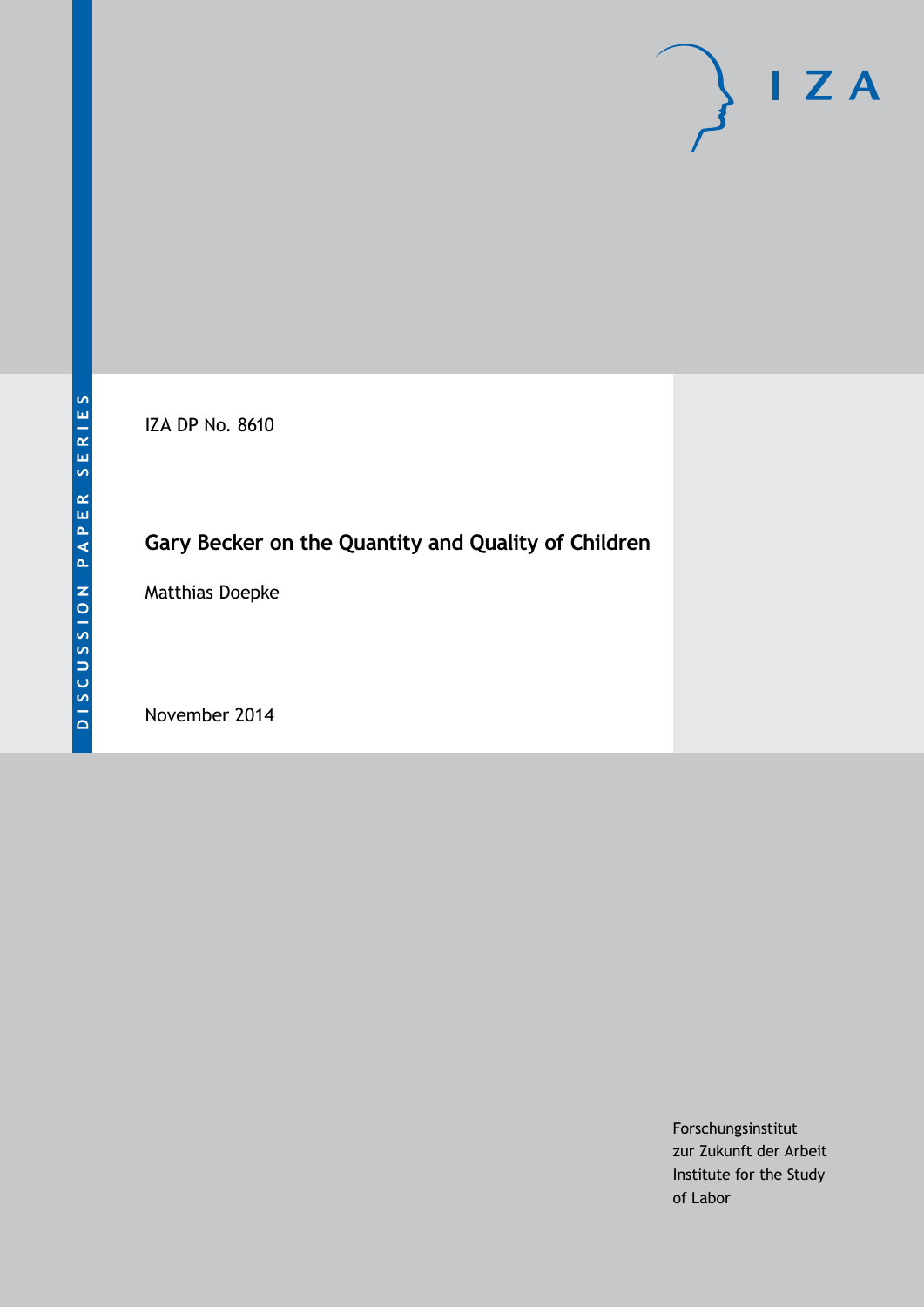IZA DP No. 8610

## **Gary Becker on the Quantity and Quality of Children**

Matthias Doepke

November 2014

Forschungsinstitut zur Zukunft der Arbeit Institute for the Study of Labor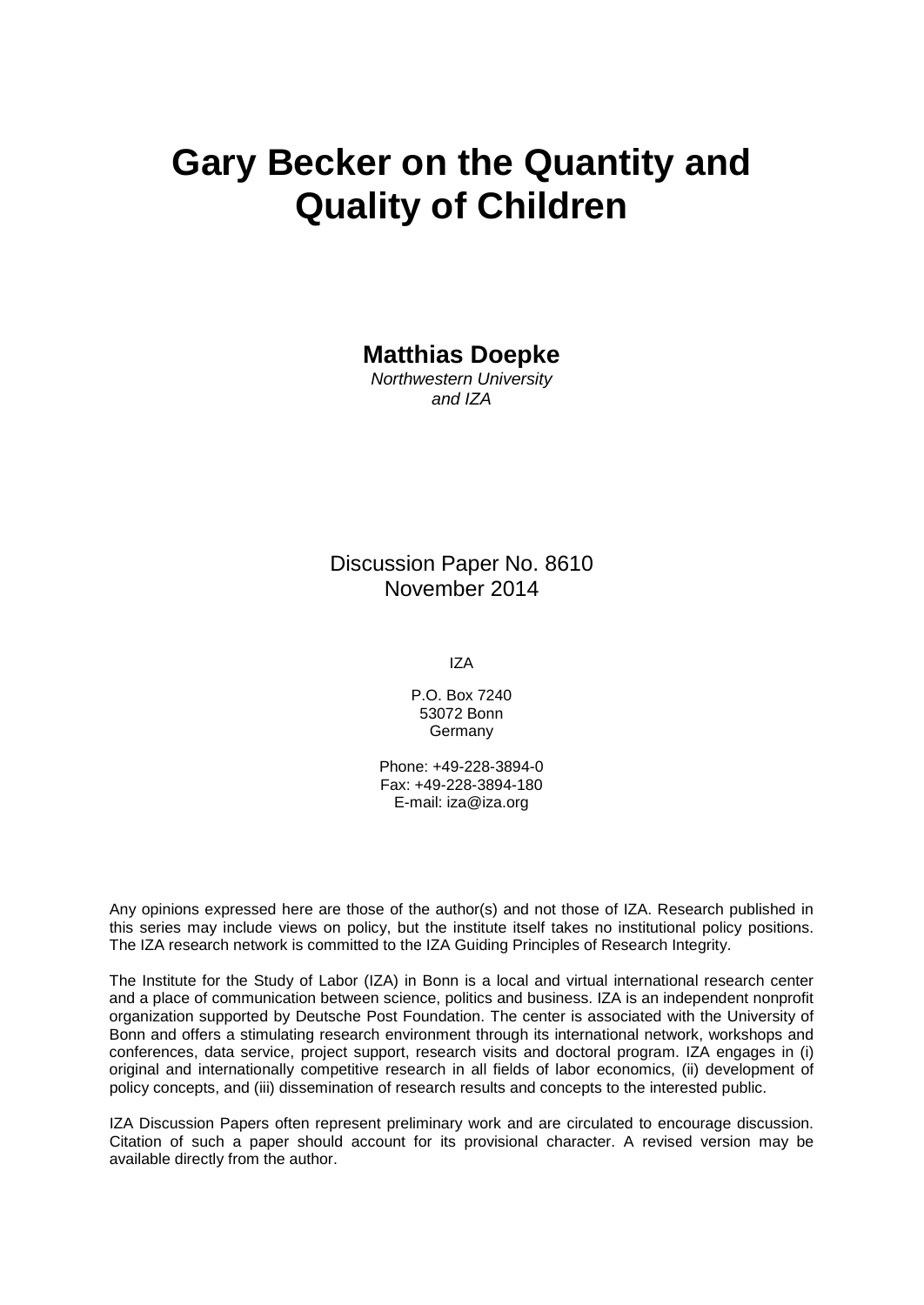# **Gary Becker on the Quantity and Quality of Children**

**Matthias Doepke**

*Northwestern University and IZA*

Discussion Paper No. 8610 November 2014

IZA

P.O. Box 7240 53072 Bonn Germany

Phone: +49-228-3894-0 Fax: +49-228-3894-180 E-mail: [iza@iza.org](mailto:iza@iza.org)

Any opinions expressed here are those of the author(s) and not those of IZA. Research published in this series may include views on policy, but the institute itself takes no institutional policy positions. The IZA research network is committed to the IZA Guiding Principles of Research Integrity.

The Institute for the Study of Labor (IZA) in Bonn is a local and virtual international research center and a place of communication between science, politics and business. IZA is an independent nonprofit organization supported by Deutsche Post Foundation. The center is associated with the University of Bonn and offers a stimulating research environment through its international network, workshops and conferences, data service, project support, research visits and doctoral program. IZA engages in (i) original and internationally competitive research in all fields of labor economics, (ii) development of policy concepts, and (iii) dissemination of research results and concepts to the interested public.

<span id="page-1-0"></span>IZA Discussion Papers often represent preliminary work and are circulated to encourage discussion. Citation of such a paper should account for its provisional character. A revised version may be available directly from the author.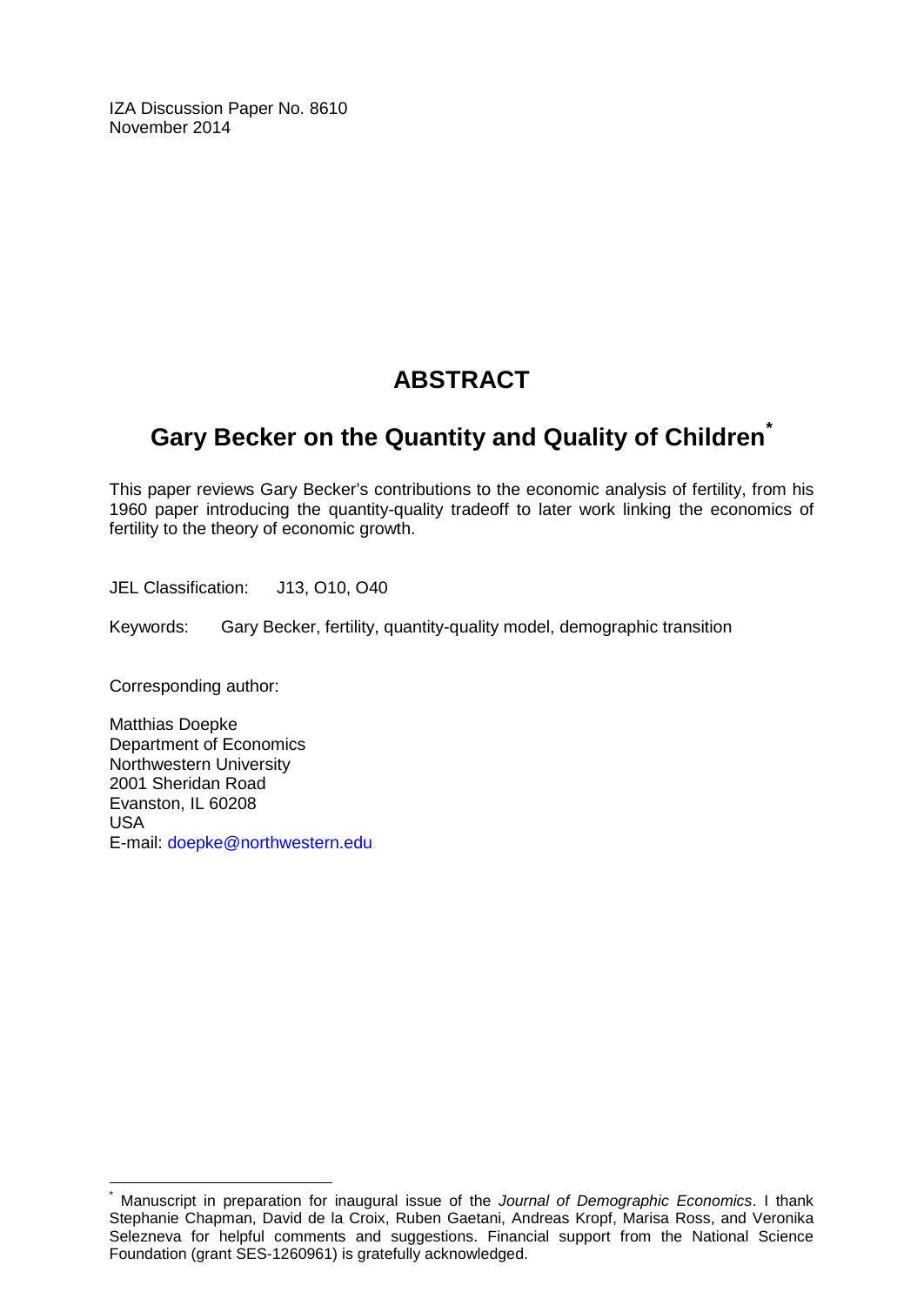IZA Discussion Paper No. 8610 November 2014

# **ABSTRACT**

## **Gary Becker on the Quantity and Quality of Children[\\*](#page-1-0)**

This paper reviews Gary Becker's contributions to the economic analysis of fertility, from his 1960 paper introducing the quantity-quality tradeoff to later work linking the economics of fertility to the theory of economic growth.

JEL Classification: J13, O10, O40

Keywords: Gary Becker, fertility, quantity-quality model, demographic transition

Corresponding author:

Matthias Doepke Department of Economics Northwestern University 2001 Sheridan Road Evanston, IL 60208 USA E-mail: [doepke@northwestern.edu](mailto:doepke@northwestern.edu)

\* Manuscript in preparation for inaugural issue of the *Journal of Demographic Economics*. I thank Stephanie Chapman, David de la Croix, Ruben Gaetani, Andreas Kropf, Marisa Ross, and Veronika Selezneva for helpful comments and suggestions. Financial support from the National Science Foundation (grant SES-1260961) is gratefully acknowledged.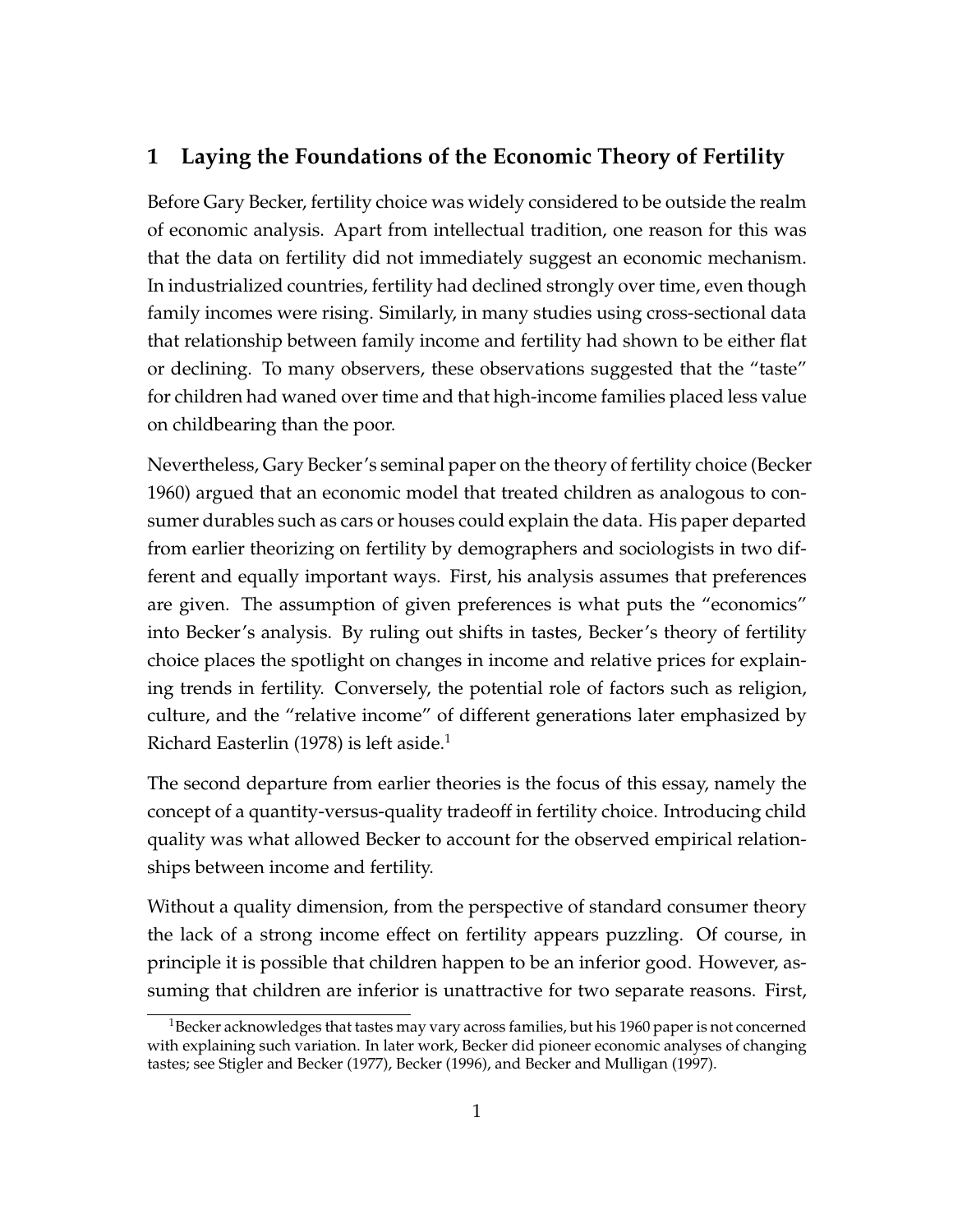### **1 Laying the Foundations of the Economic Theory of Fertility**

Before Gary Becker, fertility choice was widely considered to be outside the realm of economic analysis. Apart from intellectual tradition, one reason for this was that the data on fertility did not immediately suggest an economic mechanism. In industrialized countries, fertility had declined strongly over time, even though family incomes were rising. Similarly, in many studies using cross-sectional data that relationship between family income and fertility had shown to be either flat or declining. To many observers, these observations suggested that the "taste" for children had waned over time and that high-income families placed less value on childbearing than the poor.

Nevertheless, Gary Becker's seminal paper on the theory of fertility choice (Becker 1960) argued that an economic model that treated children as analogous to consumer durables such as cars or houses could explain the data. His paper departed from earlier theorizing on fertility by demographers and sociologists in two different and equally important ways. First, his analysis assumes that preferences are given. The assumption of given preferences is what puts the "economics" into Becker's analysis. By ruling out shifts in tastes, Becker's theory of fertility choice places the spotlight on changes in income and relative prices for explaining trends in fertility. Conversely, the potential role of factors such as religion, culture, and the "relative income" of different generations later emphasized by Richard Easterlin (1978) is left aside.<sup>1</sup>

The second departure from earlier theories is the focus of this essay, namely the concept of a quantity-versus-quality tradeoff in fertility choice. Introducing child quality was what allowed Becker to account for the observed empirical relationships between income and fertility.

Without a quality dimension, from the perspective of standard consumer theory the lack of a strong income effect on fertility appears puzzling. Of course, in principle it is possible that children happen to be an inferior good. However, assuming that children are inferior is unattractive for two separate reasons. First,

 $1B$ ecker acknowledges that tastes may vary across families, but his 1960 paper is not concerned with explaining such variation. In later work, Becker did pioneer economic analyses of changing tastes; see Stigler and Becker (1977), Becker (1996), and Becker and Mulligan (1997).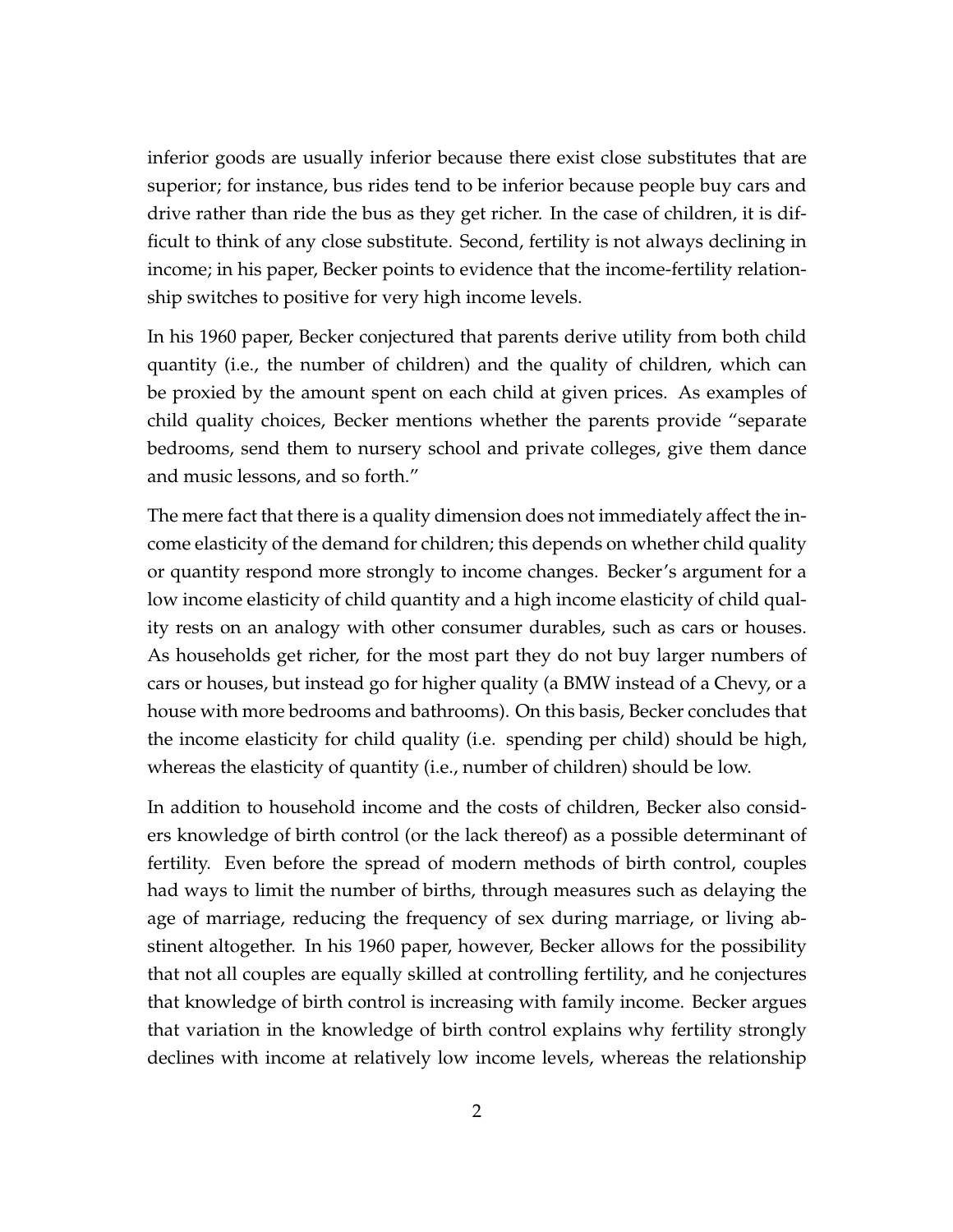inferior goods are usually inferior because there exist close substitutes that are superior; for instance, bus rides tend to be inferior because people buy cars and drive rather than ride the bus as they get richer. In the case of children, it is difficult to think of any close substitute. Second, fertility is not always declining in income; in his paper, Becker points to evidence that the income-fertility relationship switches to positive for very high income levels.

In his 1960 paper, Becker conjectured that parents derive utility from both child quantity (i.e., the number of children) and the quality of children, which can be proxied by the amount spent on each child at given prices. As examples of child quality choices, Becker mentions whether the parents provide "separate bedrooms, send them to nursery school and private colleges, give them dance and music lessons, and so forth."

The mere fact that there is a quality dimension does not immediately affect the income elasticity of the demand for children; this depends on whether child quality or quantity respond more strongly to income changes. Becker's argument for a low income elasticity of child quantity and a high income elasticity of child quality rests on an analogy with other consumer durables, such as cars or houses. As households get richer, for the most part they do not buy larger numbers of cars or houses, but instead go for higher quality (a BMW instead of a Chevy, or a house with more bedrooms and bathrooms). On this basis, Becker concludes that the income elasticity for child quality (i.e. spending per child) should be high, whereas the elasticity of quantity (i.e., number of children) should be low.

In addition to household income and the costs of children, Becker also considers knowledge of birth control (or the lack thereof) as a possible determinant of fertility. Even before the spread of modern methods of birth control, couples had ways to limit the number of births, through measures such as delaying the age of marriage, reducing the frequency of sex during marriage, or living abstinent altogether. In his 1960 paper, however, Becker allows for the possibility that not all couples are equally skilled at controlling fertility, and he conjectures that knowledge of birth control is increasing with family income. Becker argues that variation in the knowledge of birth control explains why fertility strongly declines with income at relatively low income levels, whereas the relationship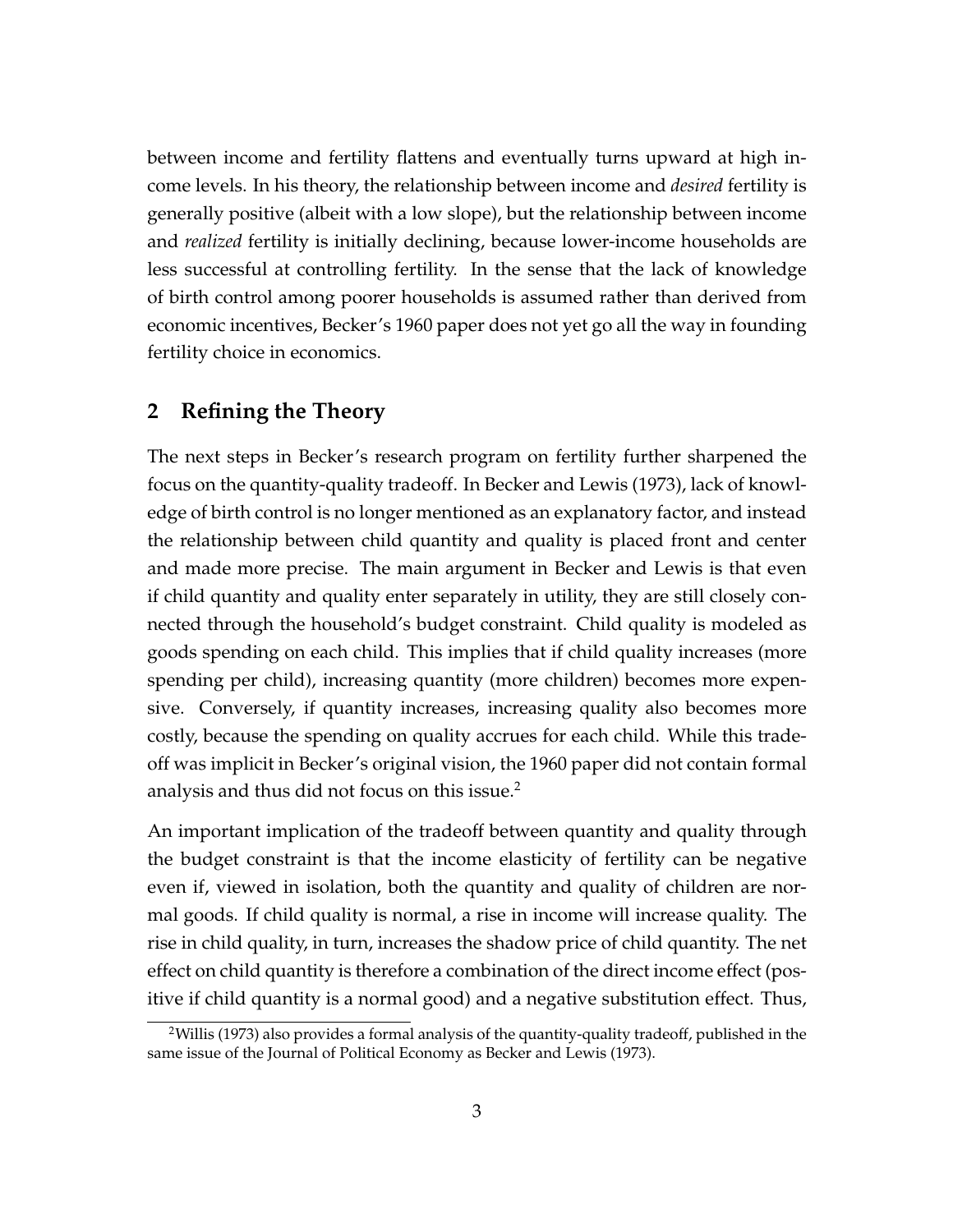between income and fertility flattens and eventually turns upward at high income levels. In his theory, the relationship between income and *desired* fertility is generally positive (albeit with a low slope), but the relationship between income and *realized* fertility is initially declining, because lower-income households are less successful at controlling fertility. In the sense that the lack of knowledge of birth control among poorer households is assumed rather than derived from economic incentives, Becker's 1960 paper does not yet go all the way in founding fertility choice in economics.

### **2 Refining the Theory**

The next steps in Becker's research program on fertility further sharpened the focus on the quantity-quality tradeoff. In Becker and Lewis (1973), lack of knowledge of birth control is no longer mentioned as an explanatory factor, and instead the relationship between child quantity and quality is placed front and center and made more precise. The main argument in Becker and Lewis is that even if child quantity and quality enter separately in utility, they are still closely connected through the household's budget constraint. Child quality is modeled as goods spending on each child. This implies that if child quality increases (more spending per child), increasing quantity (more children) becomes more expensive. Conversely, if quantity increases, increasing quality also becomes more costly, because the spending on quality accrues for each child. While this tradeoff was implicit in Becker's original vision, the 1960 paper did not contain formal analysis and thus did not focus on this issue.<sup>2</sup>

An important implication of the tradeoff between quantity and quality through the budget constraint is that the income elasticity of fertility can be negative even if, viewed in isolation, both the quantity and quality of children are normal goods. If child quality is normal, a rise in income will increase quality. The rise in child quality, in turn, increases the shadow price of child quantity. The net effect on child quantity is therefore a combination of the direct income effect (positive if child quantity is a normal good) and a negative substitution effect. Thus,

<sup>2</sup>Willis (1973) also provides a formal analysis of the quantity-quality tradeoff, published in the same issue of the Journal of Political Economy as Becker and Lewis (1973).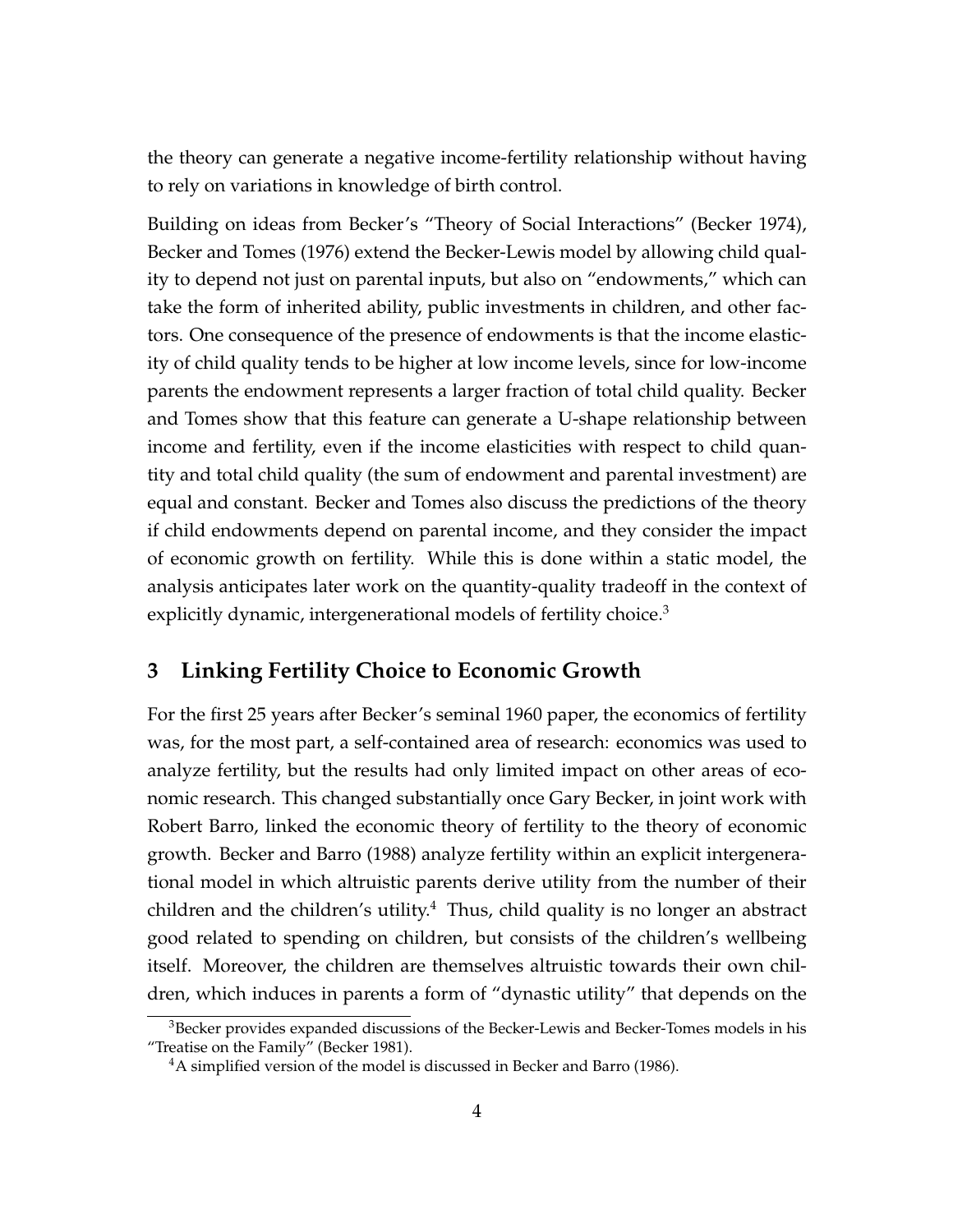the theory can generate a negative income-fertility relationship without having to rely on variations in knowledge of birth control.

Building on ideas from Becker's "Theory of Social Interactions" (Becker 1974), Becker and Tomes (1976) extend the Becker-Lewis model by allowing child quality to depend not just on parental inputs, but also on "endowments," which can take the form of inherited ability, public investments in children, and other factors. One consequence of the presence of endowments is that the income elasticity of child quality tends to be higher at low income levels, since for low-income parents the endowment represents a larger fraction of total child quality. Becker and Tomes show that this feature can generate a U-shape relationship between income and fertility, even if the income elasticities with respect to child quantity and total child quality (the sum of endowment and parental investment) are equal and constant. Becker and Tomes also discuss the predictions of the theory if child endowments depend on parental income, and they consider the impact of economic growth on fertility. While this is done within a static model, the analysis anticipates later work on the quantity-quality tradeoff in the context of explicitly dynamic, intergenerational models of fertility choice.<sup>3</sup>

### **3 Linking Fertility Choice to Economic Growth**

For the first 25 years after Becker's seminal 1960 paper, the economics of fertility was, for the most part, a self-contained area of research: economics was used to analyze fertility, but the results had only limited impact on other areas of economic research. This changed substantially once Gary Becker, in joint work with Robert Barro, linked the economic theory of fertility to the theory of economic growth. Becker and Barro (1988) analyze fertility within an explicit intergenerational model in which altruistic parents derive utility from the number of their children and the children's utility.<sup>4</sup> Thus, child quality is no longer an abstract good related to spending on children, but consists of the children's wellbeing itself. Moreover, the children are themselves altruistic towards their own children, which induces in parents a form of "dynastic utility" that depends on the

<sup>&</sup>lt;sup>3</sup>Becker provides expanded discussions of the Becker-Lewis and Becker-Tomes models in his "Treatise on the Family" (Becker 1981).

<sup>&</sup>lt;sup>4</sup>A simplified version of the model is discussed in Becker and Barro (1986).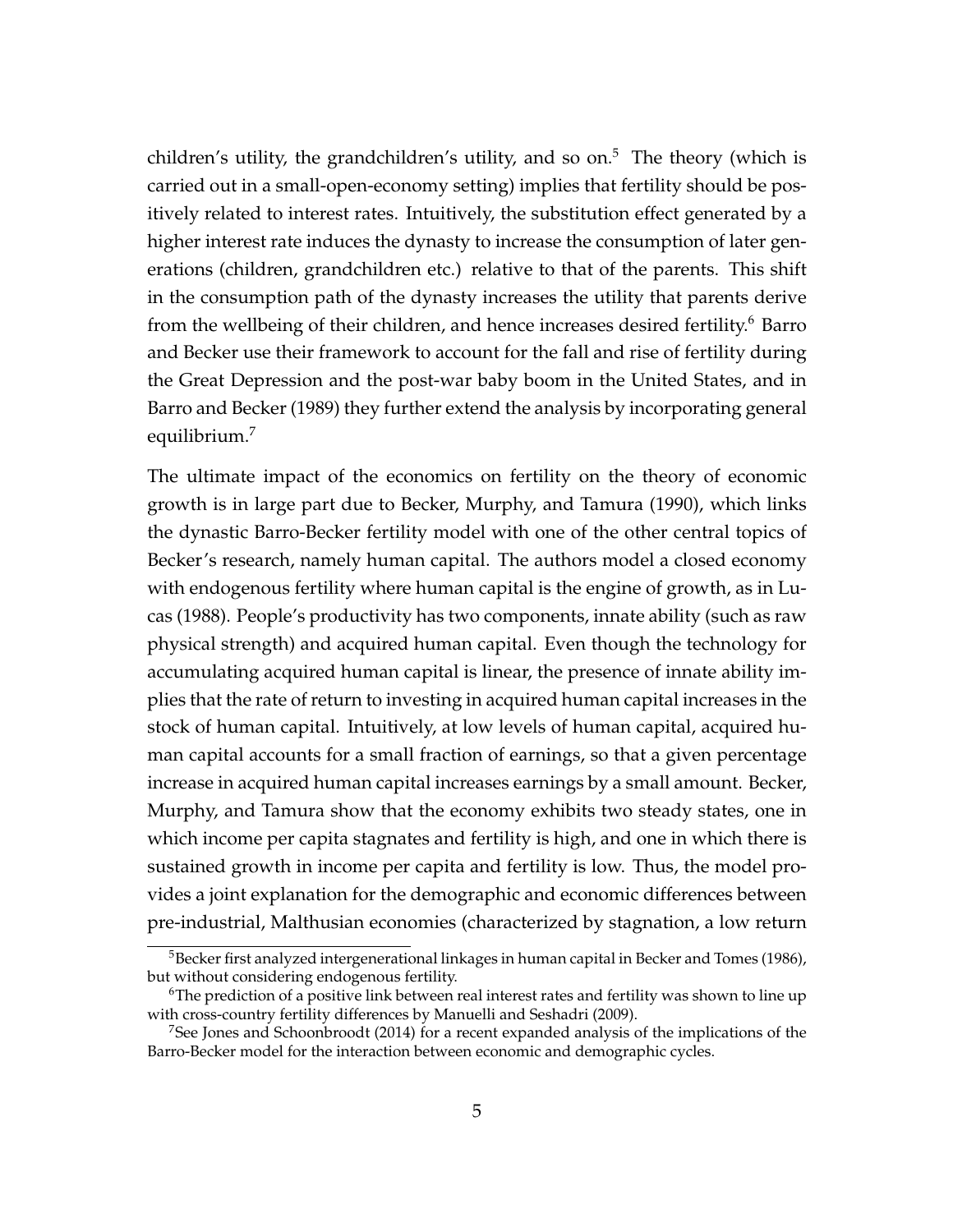children's utility, the grandchildren's utility, and so on.<sup>5</sup> The theory (which is carried out in a small-open-economy setting) implies that fertility should be positively related to interest rates. Intuitively, the substitution effect generated by a higher interest rate induces the dynasty to increase the consumption of later generations (children, grandchildren etc.) relative to that of the parents. This shift in the consumption path of the dynasty increases the utility that parents derive from the wellbeing of their children, and hence increases desired fertility.<sup>6</sup> Barro and Becker use their framework to account for the fall and rise of fertility during the Great Depression and the post-war baby boom in the United States, and in Barro and Becker (1989) they further extend the analysis by incorporating general equilibrium.<sup>7</sup>

The ultimate impact of the economics on fertility on the theory of economic growth is in large part due to Becker, Murphy, and Tamura (1990), which links the dynastic Barro-Becker fertility model with one of the other central topics of Becker's research, namely human capital. The authors model a closed economy with endogenous fertility where human capital is the engine of growth, as in Lucas (1988). People's productivity has two components, innate ability (such as raw physical strength) and acquired human capital. Even though the technology for accumulating acquired human capital is linear, the presence of innate ability implies that the rate of return to investing in acquired human capital increases in the stock of human capital. Intuitively, at low levels of human capital, acquired human capital accounts for a small fraction of earnings, so that a given percentage increase in acquired human capital increases earnings by a small amount. Becker, Murphy, and Tamura show that the economy exhibits two steady states, one in which income per capita stagnates and fertility is high, and one in which there is sustained growth in income per capita and fertility is low. Thus, the model provides a joint explanation for the demographic and economic differences between pre-industrial, Malthusian economies (characterized by stagnation, a low return

<sup>&</sup>lt;sup>5</sup>Becker first analyzed intergenerational linkages in human capital in Becker and Tomes (1986), but without considering endogenous fertility.

<sup>&</sup>lt;sup>6</sup>The prediction of a positive link between real interest rates and fertility was shown to line up with cross-country fertility differences by Manuelli and Seshadri (2009).

<sup>&</sup>lt;sup>7</sup>See Jones and Schoonbroodt (2014) for a recent expanded analysis of the implications of the Barro-Becker model for the interaction between economic and demographic cycles.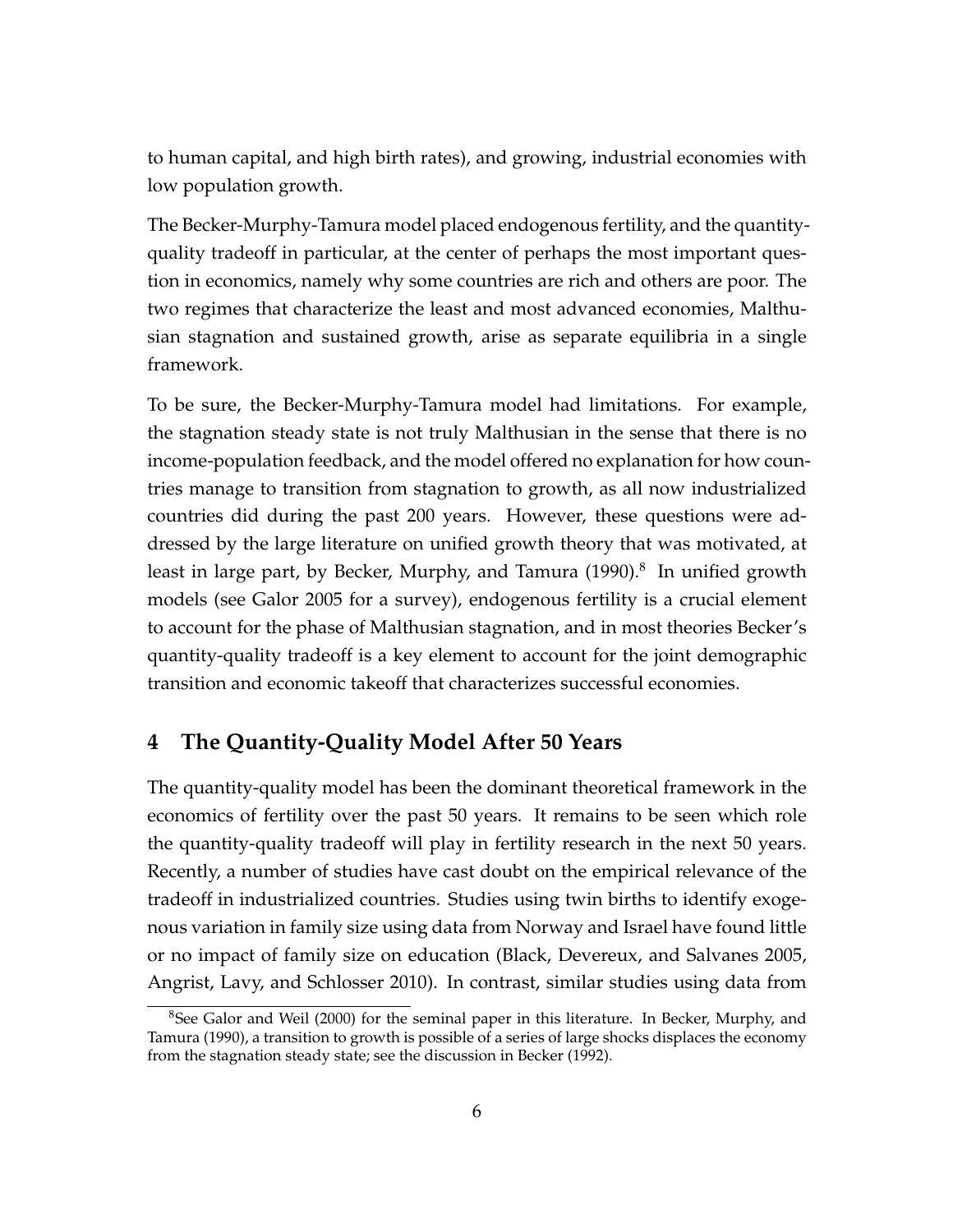to human capital, and high birth rates), and growing, industrial economies with low population growth.

The Becker-Murphy-Tamura model placed endogenous fertility, and the quantityquality tradeoff in particular, at the center of perhaps the most important question in economics, namely why some countries are rich and others are poor. The two regimes that characterize the least and most advanced economies, Malthusian stagnation and sustained growth, arise as separate equilibria in a single framework.

To be sure, the Becker-Murphy-Tamura model had limitations. For example, the stagnation steady state is not truly Malthusian in the sense that there is no income-population feedback, and the model offered no explanation for how countries manage to transition from stagnation to growth, as all now industrialized countries did during the past 200 years. However, these questions were addressed by the large literature on unified growth theory that was motivated, at least in large part, by Becker, Murphy, and Tamura (1990).<sup>8</sup> In unified growth models (see Galor 2005 for a survey), endogenous fertility is a crucial element to account for the phase of Malthusian stagnation, and in most theories Becker's quantity-quality tradeoff is a key element to account for the joint demographic transition and economic takeoff that characterizes successful economies.

## **4 The Quantity-Quality Model After 50 Years**

The quantity-quality model has been the dominant theoretical framework in the economics of fertility over the past 50 years. It remains to be seen which role the quantity-quality tradeoff will play in fertility research in the next 50 years. Recently, a number of studies have cast doubt on the empirical relevance of the tradeoff in industrialized countries. Studies using twin births to identify exogenous variation in family size using data from Norway and Israel have found little or no impact of family size on education (Black, Devereux, and Salvanes 2005, Angrist, Lavy, and Schlosser 2010). In contrast, similar studies using data from

<sup>&</sup>lt;sup>8</sup>See Galor and Weil (2000) for the seminal paper in this literature. In Becker, Murphy, and Tamura (1990), a transition to growth is possible of a series of large shocks displaces the economy from the stagnation steady state; see the discussion in Becker (1992).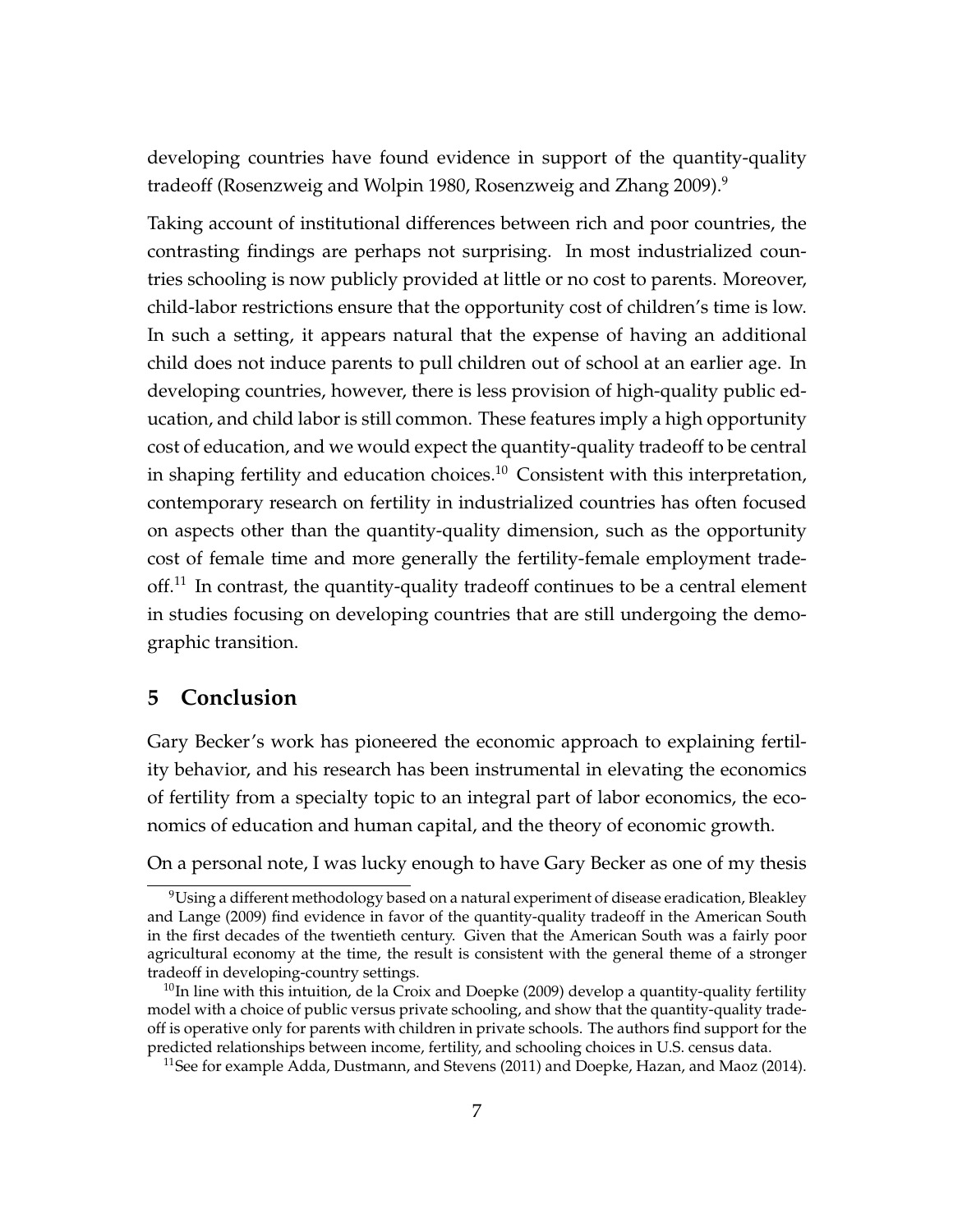developing countries have found evidence in support of the quantity-quality tradeoff (Rosenzweig and Wolpin 1980, Rosenzweig and Zhang 2009).<sup>9</sup>

Taking account of institutional differences between rich and poor countries, the contrasting findings are perhaps not surprising. In most industrialized countries schooling is now publicly provided at little or no cost to parents. Moreover, child-labor restrictions ensure that the opportunity cost of children's time is low. In such a setting, it appears natural that the expense of having an additional child does not induce parents to pull children out of school at an earlier age. In developing countries, however, there is less provision of high-quality public education, and child labor is still common. These features imply a high opportunity cost of education, and we would expect the quantity-quality tradeoff to be central in shaping fertility and education choices.<sup>10</sup> Consistent with this interpretation, contemporary research on fertility in industrialized countries has often focused on aspects other than the quantity-quality dimension, such as the opportunity cost of female time and more generally the fertility-female employment tradeoff.<sup>11</sup> In contrast, the quantity-quality tradeoff continues to be a central element in studies focusing on developing countries that are still undergoing the demographic transition.

#### **5 Conclusion**

Gary Becker's work has pioneered the economic approach to explaining fertility behavior, and his research has been instrumental in elevating the economics of fertility from a specialty topic to an integral part of labor economics, the economics of education and human capital, and the theory of economic growth.

On a personal note, I was lucky enough to have Gary Becker as one of my thesis

 $9$ Using a different methodology based on a natural experiment of disease eradication, Bleakley and Lange (2009) find evidence in favor of the quantity-quality tradeoff in the American South in the first decades of the twentieth century. Given that the American South was a fairly poor agricultural economy at the time, the result is consistent with the general theme of a stronger tradeoff in developing-country settings.

 $10$ In line with this intuition, de la Croix and Doepke (2009) develop a quantity-quality fertility model with a choice of public versus private schooling, and show that the quantity-quality tradeoff is operative only for parents with children in private schools. The authors find support for the predicted relationships between income, fertility, and schooling choices in U.S. census data.

<sup>&</sup>lt;sup>11</sup>See for example Adda, Dustmann, and Stevens (2011) and Doepke, Hazan, and Maoz (2014).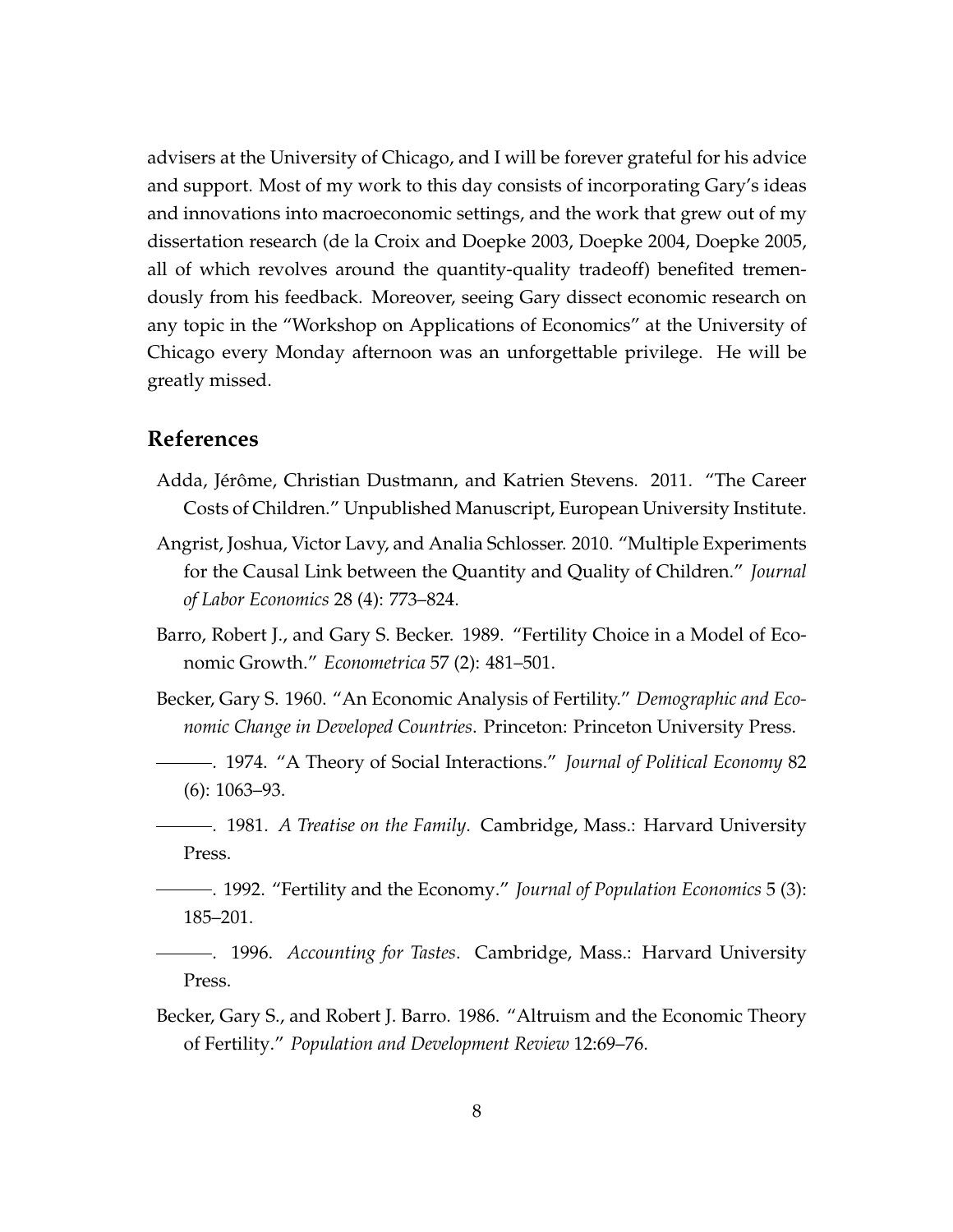advisers at the University of Chicago, and I will be forever grateful for his advice and support. Most of my work to this day consists of incorporating Gary's ideas and innovations into macroeconomic settings, and the work that grew out of my dissertation research (de la Croix and Doepke 2003, Doepke 2004, Doepke 2005, all of which revolves around the quantity-quality tradeoff) benefited tremendously from his feedback. Moreover, seeing Gary dissect economic research on any topic in the "Workshop on Applications of Economics" at the University of Chicago every Monday afternoon was an unforgettable privilege. He will be greatly missed.

#### **References**

- Adda, Jérôme, Christian Dustmann, and Katrien Stevens. 2011. "The Career Costs of Children." Unpublished Manuscript, European University Institute.
- Angrist, Joshua, Victor Lavy, and Analia Schlosser. 2010. "Multiple Experiments for the Causal Link between the Quantity and Quality of Children." *Journal of Labor Economics* 28 (4): 773–824.
- Barro, Robert J., and Gary S. Becker. 1989. "Fertility Choice in a Model of Economic Growth." *Econometrica* 57 (2): 481–501.
- Becker, Gary S. 1960. "An Economic Analysis of Fertility." *Demographic and Economic Change in Developed Countries*. Princeton: Princeton University Press.
- . 1974. "A Theory of Social Interactions." *Journal of Political Economy* 82 (6): 1063–93.
- . 1981. *A Treatise on the Family*. Cambridge, Mass.: Harvard University Press.
- . 1992. "Fertility and the Economy." *Journal of Population Economics* 5 (3): 185–201.
- . 1996. *Accounting for Tastes*. Cambridge, Mass.: Harvard University Press.
- Becker, Gary S., and Robert J. Barro. 1986. "Altruism and the Economic Theory of Fertility." *Population and Development Review* 12:69–76.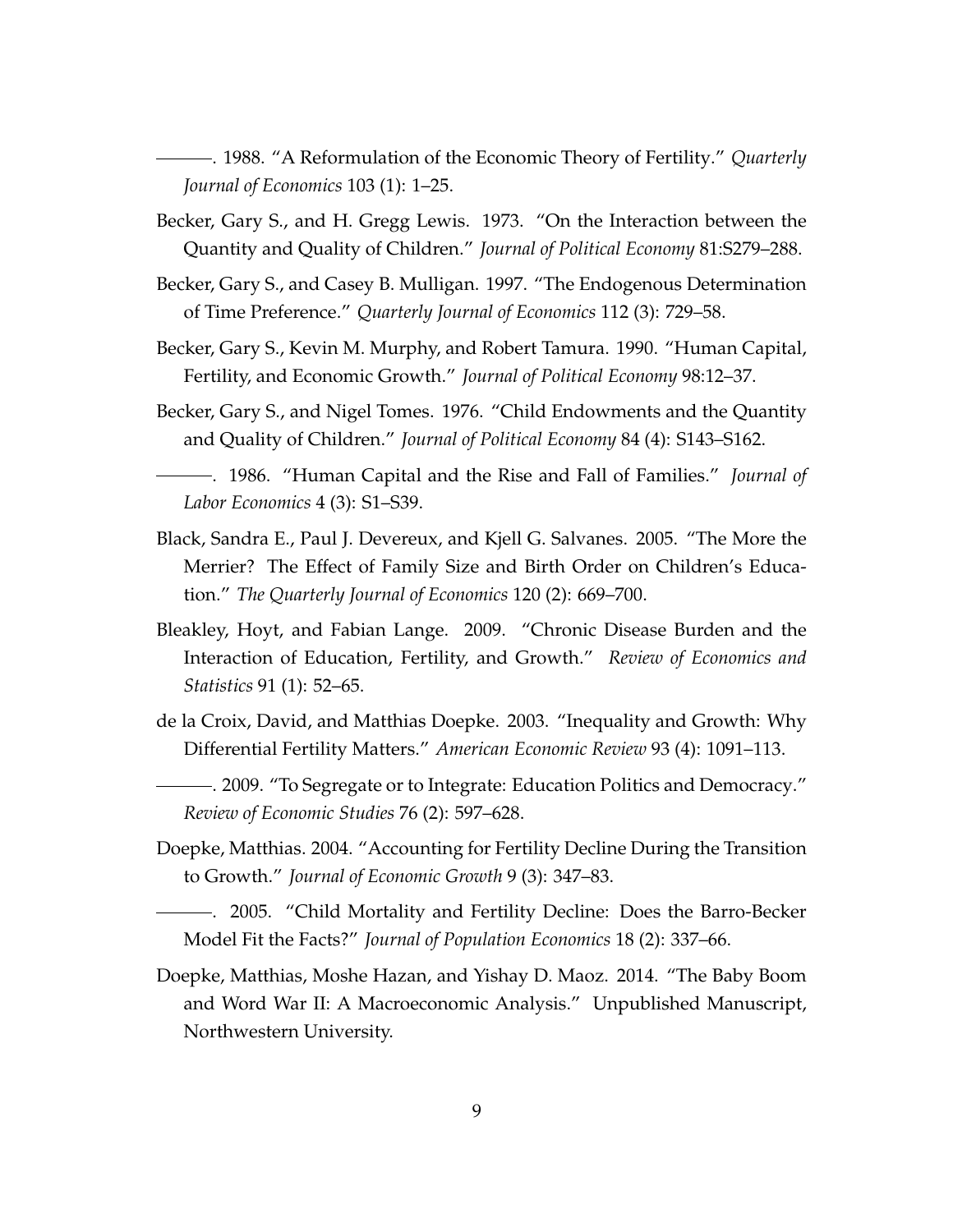. 1988. "A Reformulation of the Economic Theory of Fertility." *Quarterly Journal of Economics* 103 (1): 1–25.

- Becker, Gary S., and H. Gregg Lewis. 1973. "On the Interaction between the Quantity and Quality of Children." *Journal of Political Economy* 81:S279–288.
- Becker, Gary S., and Casey B. Mulligan. 1997. "The Endogenous Determination of Time Preference." *Quarterly Journal of Economics* 112 (3): 729–58.
- Becker, Gary S., Kevin M. Murphy, and Robert Tamura. 1990. "Human Capital, Fertility, and Economic Growth." *Journal of Political Economy* 98:12–37.
- Becker, Gary S., and Nigel Tomes. 1976. "Child Endowments and the Quantity and Quality of Children." *Journal of Political Economy* 84 (4): S143–S162.

. 1986. "Human Capital and the Rise and Fall of Families." *Journal of Labor Economics* 4 (3): S1–S39.

- Black, Sandra E., Paul J. Devereux, and Kjell G. Salvanes. 2005. "The More the Merrier? The Effect of Family Size and Birth Order on Children's Education." *The Quarterly Journal of Economics* 120 (2): 669–700.
- Bleakley, Hoyt, and Fabian Lange. 2009. "Chronic Disease Burden and the Interaction of Education, Fertility, and Growth." *Review of Economics and Statistics* 91 (1): 52–65.
- de la Croix, David, and Matthias Doepke. 2003. "Inequality and Growth: Why Differential Fertility Matters." *American Economic Review* 93 (4): 1091–113.
- . 2009. "To Segregate or to Integrate: Education Politics and Democracy." *Review of Economic Studies* 76 (2): 597–628.
- Doepke, Matthias. 2004. "Accounting for Fertility Decline During the Transition to Growth." *Journal of Economic Growth* 9 (3): 347–83.
- . 2005. "Child Mortality and Fertility Decline: Does the Barro-Becker Model Fit the Facts?" *Journal of Population Economics* 18 (2): 337–66.
- Doepke, Matthias, Moshe Hazan, and Yishay D. Maoz. 2014. "The Baby Boom and Word War II: A Macroeconomic Analysis." Unpublished Manuscript, Northwestern University.